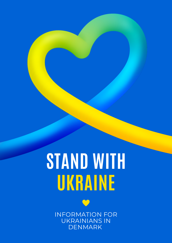# **STAND WITH UKRAINE**



INFORMATION FOR UKRAINIANS IN DENMARK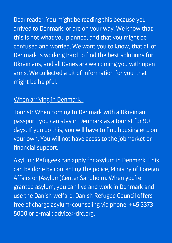Dear reader. You might be reading this because you arrived to Denmark, or are on your way. We know that this is not what you planned, and that you might be confused and worried. We want you to know, that all of Denmark is working hard to find the best solutions for Ukrainians, and all Danes are welcoming you with open arms. We collected a bit of information for you, that might be helpful.

## When arriving in Denmark

Tourist: When coming to Denmark with a Ukrainian passport, you can stay in Denmark as a tourist for 90 days. If you do this, you will have to find housing etc. on your own. You will not have acess to the jobmarket or financial support.

Asylum: Refugees can apply for asylum in Denmark. This can be done by contacting the police, Ministry of Foreign Affairs or (Asylum)Center Sandholm. When you ' re granted asylum, you can live and work in Denmark and use the Danish welfare. Danish Refugee Council offers free of charge asylum-counseling via phone: +45 3373 5000 or e-mail: [advice@drc.org.](mailto:advice@drc.org)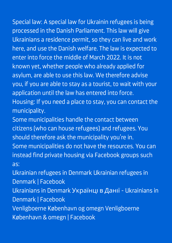Special law: A special law for Ukrainin refugees is being

processed in the Danish Parliament. This law will give Ukrainians a residence permit, so they can live and work here, and use the Danish welfare. The law is expected to enter into force the middle of March 2022. It is not known yet, whether people who already applied for asylum, are able to use this law. We therefore advise you, if you are able to stay as a tourist, to wait with your application until the law has entered into force. Housing: If you need a place to stay, you can contact the

municipality.

Some municipalities handle the contact between citizens (who can house refugees) and refugees. You should therefore ask the municipality you're in. Some municipalities do not have the resources. You can instead find private housing via Facebook groups such as:

Ukrainian refugees in Denmark Ukrainian refugees in Denmark | [Facebook](https://www.facebook.com/groups/235125798746715)

Ukrainians in Denmark [Українці](https://www.facebook.com/groups/473643156627982) в Данії - Ukrainians in Denmark | Facebook

[Venligboerne](https://www.facebook.com/groups/279450232179137) København og omegn Venligboerne København & omegn | Facebook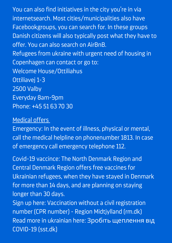You can also find initiatives in the city you're in via internetsearch. Most cities/municipalities also have Facebookgroups, you can search for. In these groups Danish citizens will also typically post what they have to offer. You can also search on AirBnB. Refugees from ukraine with urgent need of housing in Copenhagen can contact or go to: Welcome House/Ottiliahus Ottiliavej 1-3 2500 Valby Everyday 8am-9pm Phone: +45 51 63 70 30

#### Medical offers

Emergency: In the event of illness, physical or mental, call the medical helpline on phonenumber 1813. In case of emergency call emergency telephone 112.

Covid-19 vaccince: The North Denmark Region and Central Denmark Region offers free vaccines for Ukrainian refugees, when they have stayed in Denmark for more than 14 days, and are planning on staying longer than 30 days. Sign up here: [Vaccination](https://www.rm.dk/om-os/aktuelt/corona/vaccination-mod-covid-19/vaccination-uden-cpr-nummer/?fbclid=IwAR3ypHnjYq6AJd82mPYv-xw9AmWENfp57SNTMmznQWfHLv2ed639yINxIkg) without a civil registration number (CPR number) - Region Midtjylland (rm.dk) Read more in ukrainian here: Зробіть [щеплення](https://www.sst.dk/-/media/Udgivelser/2021/Corona/Vaccination/Oversaettelser/Dec-2021-Bliv-vaccineret-mod-COVID-19_UA.ashx?fbclid=IwAR0VrWUipQLY4vgAj0vRZStj3QnAHxDW_0TnwLs2Kqt2xi_ByPrbf1TlDDk) від COVID-19 (sst.dk)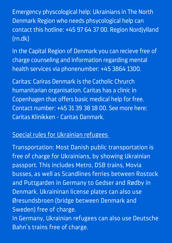Emergency physcological help: Ukrainians in The North Denmark Region who needs phsycological help can contact this hotline: +45 97 64 37 00. Region [Nordjylland](https://rn.dk/) (rn.dk)

In the Capital Region of Denmark you can recieve free of charge counseling and information regarding mental health services via phonenumber: +45 3864 1300.

Caritas: Cariras Denmark is the Catholic Chrurch humanitarian organisation. Caritas has a clinic in Copenhagen that offers basic medical help for free. Contact number: +45 31 39 38 18 00. See more here: Caritas Klinikken - Caritas [Danmark.](https://caritas.dk/klinik/)

### Special rules for Ukrainian refugees

Transportation: Most Danish public transportation is free of charge for Ukrainians, by showing Ukrainian passport. This includes Metro, DSB trains, Movia busses, as well as Scandlines ferries between Rostock and Puttgarden in Germany to Gedser and Rødby in Denmark. Ukraininan license plates can also use Øresundsbroen (bridge between Denmark and Sweden) free of charge. In Germany, Ukrainian refugees can also use Deutsche

Bahn ' s trains free of charge.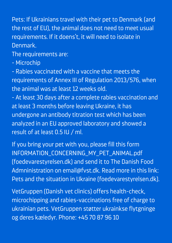Pets: If Ukrainians travel with their pet to Denmark (and the rest of EU), the animal does not need to meet usual requirements. If it doens 't, it will need to isolate in Denmark.

The requirements are:

- Microchip

- Rabies vaccinated with a vaccine that meets the requirements of Annex III of Regulation 2013/576, when the animal was at least 12 weeks old.

- At least 30 days after a complete rabies vaccination and at least 3 months before leaving Ukraine, it has undergone an antibody titration test which has been analyzed in an EU approved laboratory and showed a result of at least 0.5 IU / ml.

If you bring your pet with you, please fill this form [INFORMATION\\_CONCERNING\\_MY\\_PET\\_ANIMAL.pdf](https://www.foedevarestyrelsen.dk/english/ImportExport/Travelling_with_pet_animals/Documents/INFORMATION_CONCERNING_MY_PET_ANIMAL.pdf) (foedevarestyrelsen.dk) and send it to The Danish Food Admninistration on email@fvst.dk. Read more in this link: Pets and the situation in Ukraine [\(foedevarestyrelsen.dk\).](https://www.foedevarestyrelsen.dk/english/ImportExport/Travelling_with_pet_animals/Pages/Pets-and-the-situation-in-Ukraine.aspx)

VetGruppen (Danish vet clinics) offers health-check, microchipping and rabies-vaccinations free of charge to ukrainian pets. [VetGruppen](https://vetgruppen.dk/stoette-til-ukrainske-kaeledyr/) støtter ukrainkse flytgninge og deres kæledyr. Phone: +45 70 87 96 10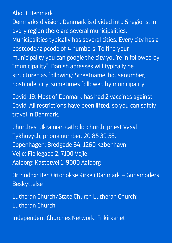#### About Denmark

Denmarks division: Denmark is divided into 5 regions. In every region there are several municipalities. Municipalities typically has several cities. Every city has a postcode/zipcode of 4 numbers. To find your municipality you can google the city you're in followed by " municipality ". Danish adresses will typically be structured as following: Streetname, housenumber, postcode, city, sometimes followed by municipality.

Covid-19: Most of Denmark has had 2 vaccines against Covid. All restrictions have been lifted, so you can safely travel in Denmark.

Churches: Ukrainian catholic church, priest Vasyl Tykhovych, phone number: 20 85 39 58. Copenhagen: Bredgade 64, 1260 København Vejle: Fjellegade 2, 7100 Vejle Aalborg: Kastetvej 1, 9000 Aalborg

Orthodox: Den Ortodokse Kirke i Danmark – [Gudsmoders](https://ortodoks.dk/) Beskyttelse

Lutheran [Church/State](https://www.lutheranchurch.dk/) Church Lutheran Church: | Lutheran Church

Independent Churches Network: [Frikirkenet](https://frikirkenet.dk/) |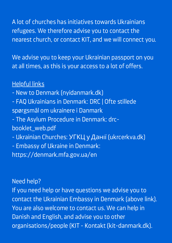A lot of churches has initiatives towards Ukrainians refugees. We therefore advise you to contact the nearest church, or contact KIT, and we will connect you.

We advise you to keep your Ukrainian passport on you at all times, as this is your access to a lot of offers.

## Helpful links

- New to Denmark [\(nyidanmark.dk\)](https://www.nyidanmark.dk/en-GB/Words%20and%20Concepts%20Front%20Page/Shared/Information%20Ukraine)
- FAQ [Ukrainians](https://drc.ngo/da/vores-arbejde/ydelser-og-losninger/integration-i-danmark/ofte-stillede-sporgsmal-om-ukrainere-i-danmark/) in Denmark: DRC | Ofte stillede spørgsmål om ukrainere i Danmark
- The Asylum Procedure in Denmark: drc[booklet\\_web.pdf](https://drc.ngo/media/grsdmydj/drc-booklet_web.pdf)
- Ukrainian Churches: УГКЦ у Данії [\(ukrcerkva.dk\)](https://www.ukrcerkva.dk/?fbclid=IwAR3J4Ljb8eAlHTU-z5lJoQKxk6yDkbT9KpL823-uRSplxqkR7ydG9zewuHo)
- Embassy of Ukraine in Denmark:

<https://denmark.mfa.gov.ua/en>

#### Need help?

If you need help or have questions we advise you to contact the Ukrainian Embassy in Denmark (above link). You are also welcome to contact us. We can help in Danish and English, and advise you to other organisations/people (KIT - Kontakt [\(kit-danmark.dk\).](https://www.kit-danmark.dk/dk/kontakt/)